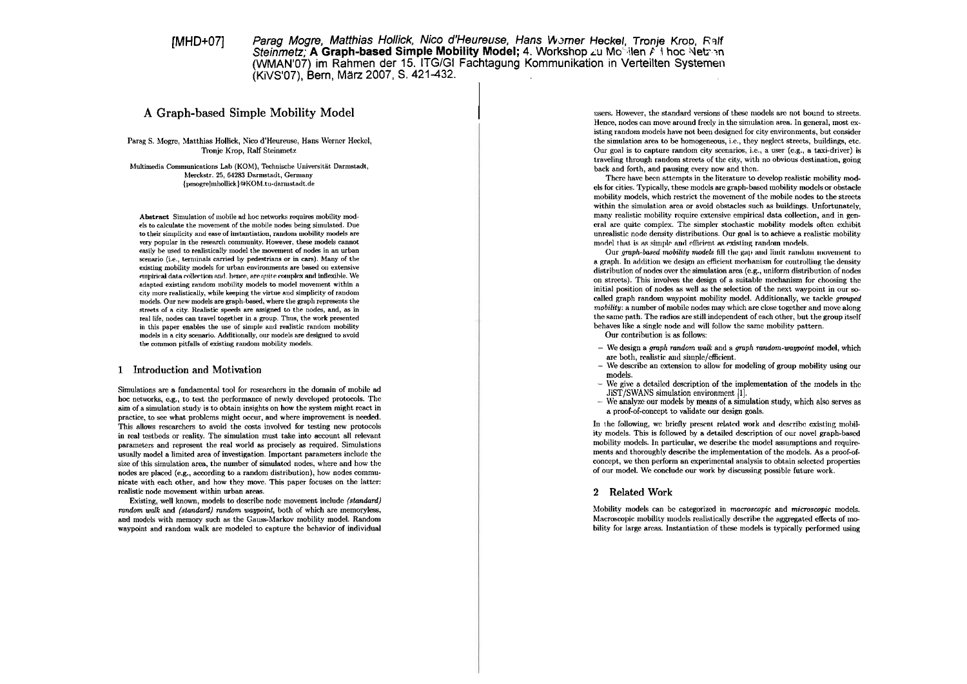# $IMHD+O71$

Parag Mogre, Matthias Hollick, Nico d'Heureuse, Hans Werner Heckel, Tronie Krop, Ralf Steinmetz: A Graph-based Simple Mobility Model: 4. Workshop zu Mobilen A thoc Netzen (WMAN'07) im Rahmen der 15. ITG/GI Fachtagung Kommunikation in Verteilten Systemen (KIVS'07), Bern, März 2007, S. 421-432.

## A Graph-based Simple Mobility Model

Parag S. Mogre, Matthias Hollick, Nico d'Heureuse, Hans Werner Heckel, Tronje Krop, Ralf Steinmetz

Multimedia Communications Lab (KOM). Technische Universität Darmstadt. Merckstr. 25, 64283 Darmstadt, Germany {pmogre{mhollick}@KOM.tu-darmstadt.de

Abstract Simulation of mobile ad hoc networks requires mobility models to calculate the movement of the mobile nodes being simulated. Due to their simplicity and ease of instantiation, random mobility models are very popular in the research community. However, these models cannot easily be used to realistically model the movement of nodes in an urban scenario (i.e., terminals carried by pedestrians or in cars). Many of the existing mobility models for urban environments are based on extensive empirical data collection and, hence, are quite complex and inflexible. We adapted existing random mobility models to model movement within a city more realistically, while keeping the virtue and simplicity of random models. Our new models are graph-based, where the graph represents the streets of a city. Realistic speeds are assigned to the nodes, and, as in real life, nodes can travel together in a group. Thus, the work presented in this paper enables the use of simple and realistic random mobility models in a city scenario. Additionally, our models are designed to avoid the common pitfalls of existing random mobility models.

### 1 Introduction and Motivation

Simulations are a fundamental tool for researchers in the domain of mobile ad hoc networks, e.g., to test the performance of newly developed protocols. The aim of a simulation study is to obtain insights on how the system might react in practice, to see what problems might occur, and where improvement is needed. This allows researchers to avoid the costs involved for testing new protocols in real testbeds or reality. The simulation must take into account all relevant parameters and represent the real world as precisely as required. Simulations usually model a limited area of investigation. Important parameters include the size of this simulation area, the number of simulated nodes, where and how the nodes are placed (e.g., according to a random distribution), how nodes communicate with each other, and how they move. This paper focuses on the latter: realistic node movement within urban areas.

Existing, well known, models to describe node movement include (standard) random walk and (standard) random waypoint, both of which are memoryless, and models with memory such as the Gauss-Markov mobility model. Random waypoint and random walk are modeled to capture the behavior of individual

users. However, the standard versions of these models are not bound to streets. Hence, nodes can move around freely in the simulation area. In general, most existing random models have not been designed for city environments, but consider the simulation area to be homogeneous, i.e., they neglect streets, buildings, etc. Our goal is to capture random city scenarios, i.e., a user (e.g., a taxi-driver) is traveling through random streets of the city, with no obvious destination, going back and forth, and pausing every now and then.

There have been attempts in the literature to develop realistic mobility models for cities. Typically, these models are graph-based mobility models or obstacle mobility models, which restrict the movement of the mobile nodes to the streets within the simulation area or avoid obstacles such as buildings. Unfortunately, many realistic mobility require extensive empirical data collection, and in general are quite complex. The simpler stochastic mobility models often exhibit unrealistic node density distributions. Our goal is to achieve a realistic mobility model that is as simple and efficient as existing random models.

Our graph-based mobility models fill the gap and limit random movement to a graph. In addition we design an efficient mechanism for controlling the density distribution of nodes over the simulation area  $(e.g.,$  uniform distribution of nodes on streets). This involves the design of a suitable mechanism for choosing the initial position of nodes as well as the selection of the next waypoint in our socalled graph random waypoint mobility model. Additionally, we tackle grouped mobility: a number of mobile nodes may which are close together and move along the same path. The radios are still independent of each other, but the group itself behaves like a single node and will follow the same mobility pattern.

Our contribution is as follows:

- $-$  We design a graph random walk and a graph random-waypoint model, which are both, realistic and simple/efficient.
- We describe an extension to allow for modeling of group mobility using our models
- $-$  We give a detailed description of the implementation of the models in the JiST/SWANS simulation environment [1].
- We analyze our models by means of a simulation study, which also serves as a proof-of-concept to validate our design goals.

In the following, we briefly present related work and describe existing mobility models. This is followed by a detailed description of our novel graph-based mobility models. In particular, we describe the model assumptions and requirements and thoroughly describe the implementation of the models. As a proof-ofconcept, we then perform an experimental analysis to obtain selected properties of our model. We conclude our work by discussing possible future work.

#### 2 Related Work

Mobility models can be categorized in macroscopic and microscopic models. Macroscopic mobility models realistically describe the aggregated effects of mobility for large areas. Instantiation of these models is typically performed using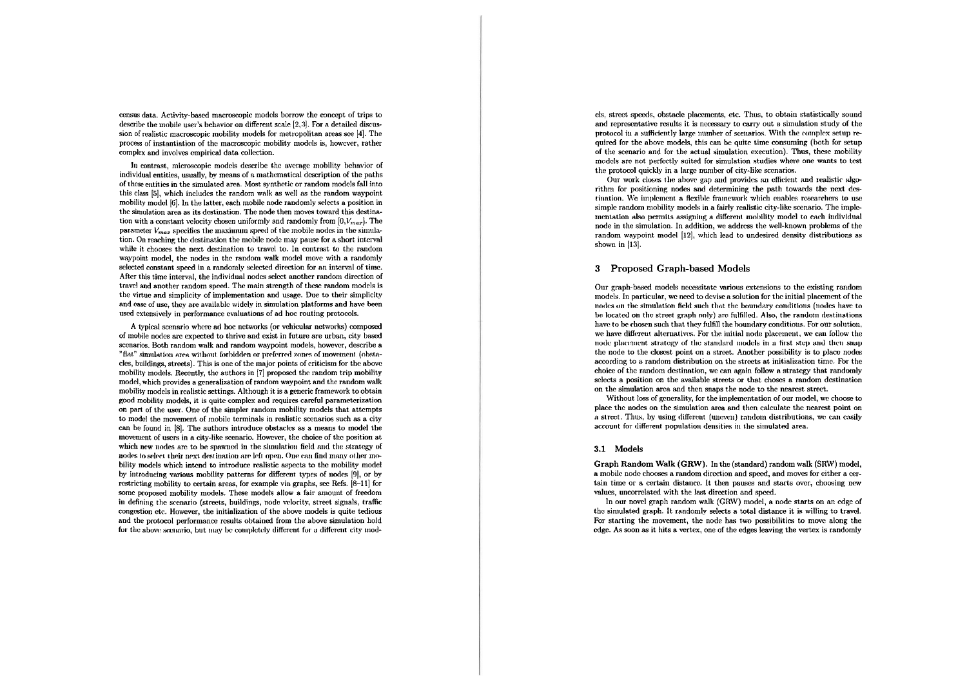census data. Activity-based macroscopic models borrow the concept of trips to describe the mobile user's behavior on different scale [2,3]. For a detailed discussion of realistic macroscopic mobility models for metropolitan areas see [4]. The process of instantiation of the macroscopic mobility models is, however, rather complcx and involves cmpirical dnta collcction.

In contrast, microscopic models describe the average mobility behavior of individual entities, usually, by means of a mathematical description of the paths of these entities in the simulated area. Most synthetic or random models fall into this clas **151,** which includcs thc random walk as well as the random waypoint mobility model [6]. In the latter, each mobile node randomly selects a position in the simulation area as its destination. The node then moves toward this destination with a constant velocity chosen uniformly and randomly from  $[0, V_{max}]$ . The parameter  $V_{max}$  specifies the maximum speed of the mobile nodes in the simulation. On reaching the destination the mobile node may pause for a short interval while it chooses the next destination to travel to. In contrast to the random waypoint model, the nodes in the random walk model move with a randomly sclected constant speed in a randomly selected direction for an interval of time. After this time interval, the individual nodes select another random direction of travel and another random speed. The main strength of these random models is the virtue and simplicity of implementation and usage. Due to their simplicity and case of use, they are available widely in simulation platforms and have been used extensively in performance evaluations of ad hoc routing protocols.

A typical scenario where ad hoc networks (or vehicular networks) composed of mobile nodes arc expected to thrive and exist in future are urban, city based sccnarios. Both random walk and random waypoint models, however, describe a "flat" simulation area without forbidden or preferred zones of movement (obstacles, buildings, streets). This is one of the major points of criticism for the above mobility models. Recently, the authors in [7] proposed the random trip mobility model, which provides a generalization of random waypoint and the random walk mobility models in realistic settings. Although it is a generic framework to obtain good mobility models, it is quitc complcx and requires careful parametcrization on part of the user. One of the simpler random mobility models that attempts to model the movemcnt of mobilc tcrminals in realistic sccnarios such as a city can be found in [8]. The authors introduce obstacles as a means to model the movement of users in a city-like scenario. However, the choice of the position at which new nodes are to be spawned in the simulation field and the strategy of nodes to select their next destination are left open. One can find many other mobility modcls which intcnd to introduce realistic aspects to thc mobility modcl by introducing various mobility patterns for different types of nodes [9], or by restricting mobility to certain areas, for example via graphs, see Refs. [8-11] for some proposed mobility models. These models allow a fair amount of freedom in defining the scenario (streets, buildings, node velocity, street signals, traffic congestion etc. However, the initialization of the above models is quite tedious and the protocol performance results obtained from the above simulation hold for the above scenario, but may be completely different for a different city modcls, street speeds, obstacle placements, etc. Thus, to obtain statistically sound and representative results it is necessary to carry out a simulation study of the protocol in a sufficiently large number of scenarios. With the complex setup required for the abovc models, this can be quite time consuming (both for setup of the scenario and for the actual simulation execution). Thus, these mobility models are not perfectly suited for simulation studies where one wants to test the protocol quickly in a Iargc nuniber of city-like scenarios.

Our work closes the above gap and provides an efficient and realistic algorithm for positioning nodes and determining the path towards the next destination. We implement a flexible framework which enables researchers to use simple random mobility models in a fairly realistic city-like scenario. The impleinentation also permits assigning a different mobility model to each individual node in the simulation. In addition, we address the well-known problems of the random waypoint model [12], which lead to undesired density distributions as shown in **(131.** 

### **3 Proposed Graph-based Models**

Our graph-based models necessitate various extensions to the existing random models. In particular, we need to devise a solution for the initial placement of the inodes on the simulation field such that the boundary conditions (nodes have to be located on the street graph only) are fulfilled. Also, the random destinations have to be chosen such that they fulfill the boundary conditious. For our solution, we have different alternatives. For the initial node placement, we can follow the ing the placement strategy of the standard models in a first step and then suap the nodc to the closcst point on a street. Another possibility is **to** placc nodcs according to a random distribution on the streets at initidization timc. For the choice of the random destination, we can again follow a strategy that randomly sclects a position on the available streets or that choses a random destination on the simulation area and then snaps the node to the nearest street.

Without loss of generality, for the implementation of our model, we choose to place the nodes on the simulation area and then calculate the nearest point on *a* street. Thus, by using different (uneven) random distributions, we can easily account for different population densities in the simulated area.

#### **3.1 Models**

**Graph Randorn Walk (GRW).** In the (standard) random walk **(SRM')** model, a mobile node chooses a random direction and speed, and moves for either a certain time or a certain distance. It then pauses and starts over, choosing new values, uncorrelated with the last direction and speed.

In our novel graph random walk *(GRW)* model, a node starts on an edge of thc siniulated graph. It randonily selects a total distance it is willing to travcl. For starting the movement, the node has two possibilities to move along the cdgc. As soon as it hits a vertex, one of the edges leaving the vertex is randomly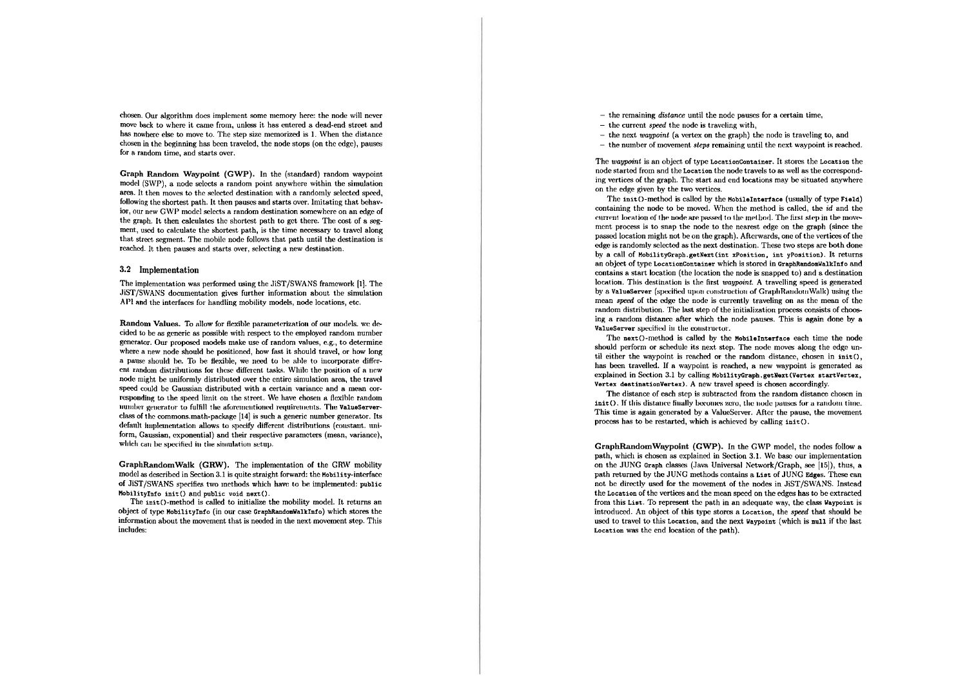chosen. Our algorithm does implement some memory here: the node will never move back to where it came from, unless it has entered a dead-end street and has nowhere else to move to. The step size memorized is 1. When the distance chosen in the beginning has been traveled, the node stops (on the edge), pauses for a random time, and starts over.

Graph Random Wavpoint (GWP). In the (standard) random wavpoint model (SWP), a node selects a random point anywhere within the simulation area. It then moves to the selected destination with a randomly selected speed, following the shortest path. It then pauses and starts over. Imitating that behavior, our new GWP model selects a random destination somewhere on an edge of the graph. It then calculates the shortest path to get there. The cost of a segment, used to calculate the shortest path, is the time necessary to travel along that street segment. The mobile node follows that path until the destination is reached. It then pauses and starts over, selecting a new destination.

#### 3.2 Implementation

The implementation was performed using the JiST/SWANS framework [1]. The JiST/SWANS documentation gives further information about the simulation API and the interfaces for handling mobility models, node locations, etc.

Random Values. To allow for flexible parameterization of our models, we decided to be as generic as possible with respect to the employed random number generator. Our proposed models make use of random values, e.g., to determine where a new node should be positioned, how fast it should travel, or how long a pause should be. To be flexible, we need to be able to incorporate different random distributions for these different tasks. While the position of a new node might be uniformly distributed over the entire simulation area, the travel speed could be Gaussian distributed with a certain variance and a mean corresponding to the speed limit on the street. We have chosen a flexible random number generator to fulfill the aforementioned requirements. The ValueServerclass of the commons.math-package [14] is such a generic number generator. Its default implementation allows to specify different distributions (constant. uniform, Gaussian, exponential) and their respective parameters (mean, variance), which can be specified in the simulation setup.

GraphRandomWalk (GRW). The implementation of the GRW mobility model as described in Section 3.1 is quite straight forward: the Mobility-interface of JiST/SWANS specifies two methods which have to be implemented: public MobilityInfo init() and public void next().

The init()-method is called to initialize the mobility model. It returns an object of type MobilityInfo (in our case GraphRandomWalkInfo) which stores the information about the movement that is needed in the next movement step. This includes:

 $-$  the remaining *distance* until the node pauses for a certain time,

- $-$  the current speed the node is traveling with.
- $-$  the next *waypoint* (a vertex on the graph) the node is traveling to, and
- $-$  the number of movement *steps* remaining until the next waypoint is reached.

The waypoint is an object of type LocationContainer. It stores the Location the node started from and the Location the node travels to as well as the corresponding vertices of the graph. The start and end locations may be situated anywhere on the edge given by the two vertices.

The init ()-method is called by the MobileInterface (usually of type Field) containing the node to be moved. When the method is called, the id and the current location of the node are passed to the method. The first step in the movement process is to snap the node to the nearest edge on the graph (since the passed location might not be on the graph). Afterwards, one of the vertices of the edge is randomly selected as the next destination. These two steps are both done by a call of MobilityGraph.getNext(int xPosition, int yPosition). It returns an object of type LocationContainer which is stored in GraphRandomWalkInfo and contains a start location (the location the node is snapped to) and a destination location. This destination is the first *waypoint*. A travelling speed is generated by a ValueServer (specified upon construction of GraphRandomWalk) using the mean speed of the edge the node is currently traveling on as the mean of the random distribution. The last step of the initialization process consists of choosing a random distance after which the node pauses. This is again done by a ValueServer specified in the constructor.

The next()-method is called by the MobileInterface each time the node should perform or schedule its next step. The node moves along the edge until either the wavnoint is reached or the random distance, chosen in init(), has been travelled. If a waypoint is reached, a new waypoint is generated as explained in Section 3.1 by calling MobilityGraph.getNext(Vertex startVertex, Vertex destinationVertex). A new travel speed is chosen accordingly.

The distance of each step is subtracted from the random distance chosen in init(). If this distance finally becomes zero, the node pauses for a random time. This time is again generated by a ValueServer. After the pause, the movement process has to be restarted, which is achieved by calling init().

GraphRandomWaypoint (GWP). In the GWP model, the nodes follow a path, which is chosen as explained in Section 3.1. We base our implementation on the JUNG Graph classes (Java Universal Network/Graph, see [15]), thus, a path returned by the JUNG methods contains a List of JUNG Edges. These can not be directly used for the movement of the nodes in JiST/SWANS. Instead the Location of the vertices and the mean speed on the edges has to be extracted from this List. To represent the path in an adequate way, the class Waypoint is introduced. An object of this type stores a Location, the speed that should be used to travel to this Location, and the next Waypoint (which is null if the last Location was the end location of the path).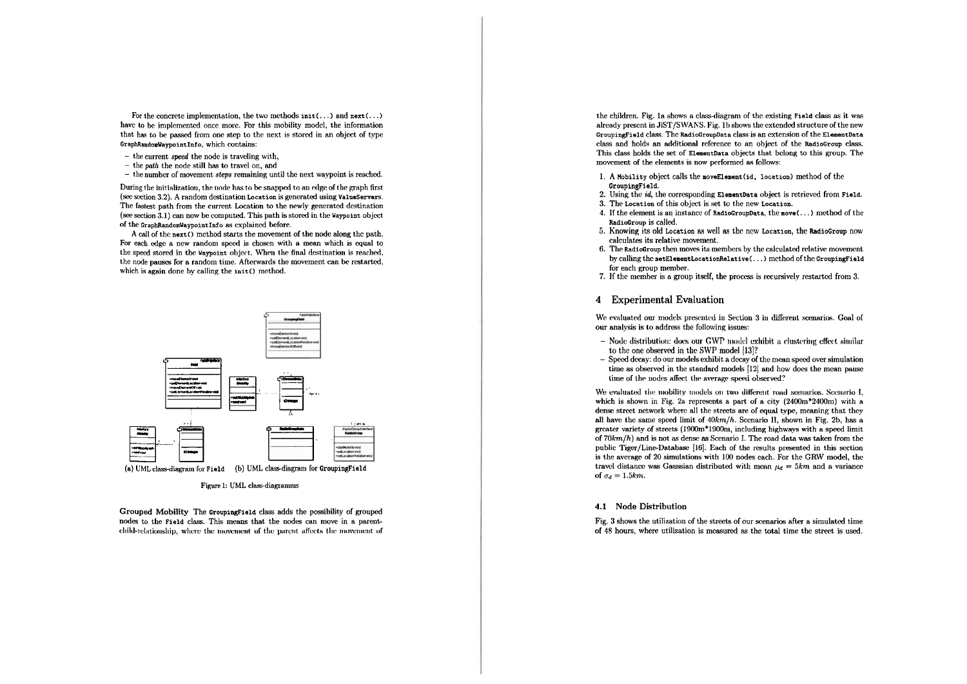For the concrete implementation, the two methods  $init(...)$  and  $next(...)$ have to be implemented once more. For this mobility model, the information that has to be passed from one step to the next is stored in an object of type GraphRandomWaypointInfo, which contains:

- $-$  the current speed the node is traveling with,
- $-$  the path the node still has to travel on, and
- $-$  the number of movement *steps* remaining until the next waypoint is reached.

During the initialization, the node has to be snapped to an edge of the graph first (see section 3.2). A random destination Location is generated using ValueServers. The fastest path from the current Location to the newly generated destination (see section 3.1) can now be computed. This path is stored in the Waypoint object of the GraphRandomWaypointInfo as explained before.

A call of the next() method starts the movement of the node along the path. For each edge a new random speed is chosen with a mean which is equal to the speed stored in the Waypoint object. When the final destination is reached. the node pauses for a random time. Afterwards the movement can be restarted, which is again done by calling the init() method.



Figure 1: UML class-diagramms

Grouped Mobility The GroupingField class adds the possibility of grouped nodes to the Field class. This means that the nodes can move in a parentchild-relationship, where the movement of the parent affects the movement of

the children. Fig. 1a shows a class-diagram of the existing Field class as it was already present in JiST/SWANS. Fig. 1b shows the extended structure of the new GroupingField class. The RadioGroupData class is an extension of the ElementData class and holds an additional reference to an object of the RadioGroup class. This class holds the set of ElementData objects that belong to this group. The movement of the elements is now performed as follows:

- 1. A Mobility object calls the moveElement(id, location) method of the GroupingField.
- 2. Using the *id*, the corresponding ElementData object is retrieved from Field.
- 3. The Location of this object is set to the new Location.
- 4. If the element is an instance of RadioGroupData, the move  $(\ldots)$  method of the RadioGroup is called.
- 5. Knowing its old Location as well as the new Location, the RadioGroup now calculates its relative movement.
- 6. The RadioGroup then moves its members by the calculated relative movement by calling the setElementLocationRelative(...) method of the GroupingField for each group member.
- 7. If the member is a group itself, the process is recursively restarted from 3.

## 4 Experimental Evaluation

We evaluated our models presented in Section 3 in different scenarios. Goal of our analysis is to address the following issues:

- $-$  Node distribution: does our GWP model exhibit a clustering effect similar to the one observed in the SWP model [13]?
- $-$  Speed decay: do our models exhibit a decay of the mean speed over simulation time as observed in the standard models [12] and how does the mean pause time of the nodes affect the average speed observed?

We evaluated the mobility models on two different road scenarios. Scenario L. which is shown in Fig. 2a represents a part of a city  $(2400m^*2400m)$  with a dense street network where all the streets are of equal type, meaning that they all have the same speed limit of  $40km/h$ . Scenario II, shown in Fig. 2b, has a greater variety of streets (1900m\*1900m, including highways with a speed limit of  $70km/h$ ) and is not as dense as Scenario I. The road data was taken from the public Tiger/Line-Database [16]. Each of the results presented in this section is the average of 20 simulations with 100 nodes each. For the GRW model, the travel distance was Gaussian distributed with mean  $\mu_d = 5km$  and a variance of  $\sigma_d = 1.5km$ .

#### 4.1 Node Distribution

Fig. 3 shows the utilization of the streets of our scenarios after a simulated time of 48 hours, where utilization is measured as the total time the street is used.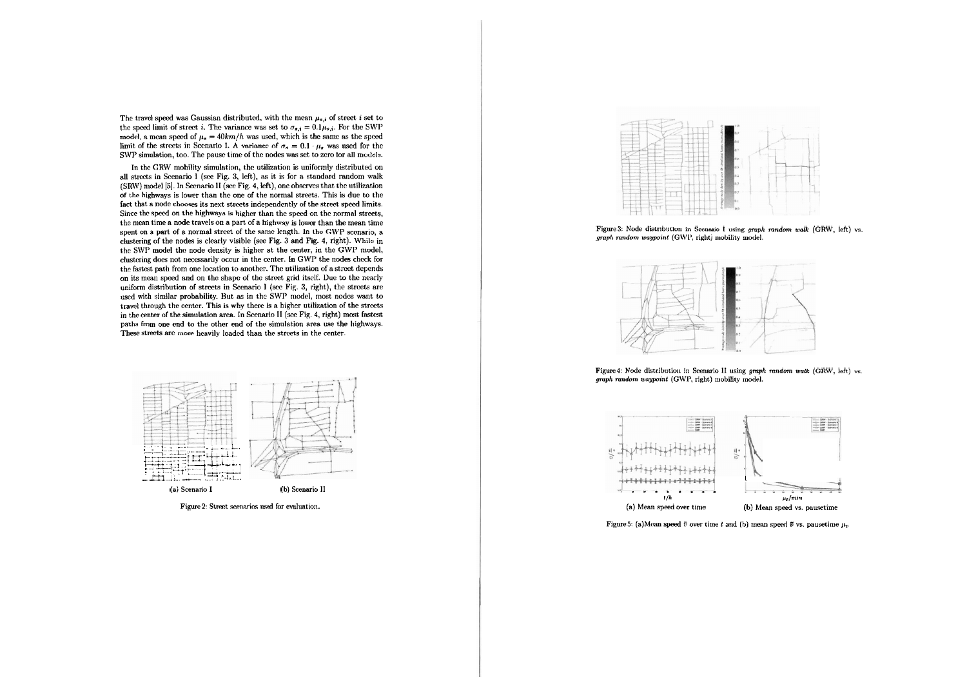The travel speed was Gaussian distributed, with the mean  $\mu_{s,i}$  of street *i* set to the speed limit of street *i*. The variance was set to  $\sigma_{s,i} = 0.1 \mu_{s,i}$ . For the SWP model, a mean speed of  $\mu_n = 40km/h$  was used, which is the same as the speed limit of the streets in Scenario I. A variance of  $\sigma_n = 0.1 \cdot \mu_n$  was used for the SWP simulation, too. The pause time of the nodes was set to zero for all models.

In the GRW mobility simulation, the utilization is uniformly distributed on all strects in Scenario 1 (see Fig. 3, left), as it is for a standard random walk (SRW) model [5]. In Scenario II (see Fig. 4, left), one observes that the utilization of thc highways is lower than thc onc of the normal streets. This is due to the fact that a node chooses its next streets independently of the street speed limits. Since thc speed on the highways is higher than thc speed on thc normal streets, the mean time a node travels on a part of a highway is lower than the mean time spent on a part of a normal street of the same length. In the GWP scenario, a clustering of the nodes is clearly visible (see Fig. 3 and Fig. **1,** right). Wliilc in the SWP model thc node density is highcr at the center, in the GWP modcl, clustering does not necessarily occur in the center. In GWP the nodes check for the fastest path from one location to another. The utilization of a street depends on its menn speed and on the shape of thc street grid itsclf. Duc to the nearly uniform distribution of streets in Scenario I (see Fig. 3, right), the streets are used with similar probability. But as in the SWP model, most nodes want to travel through the center. This is why there is a higher utilization of the streets in the centcr of the simulation area. In Scenario 11 *(sec* Fig. 4, right) most fastcst paths from one end to the other end of the simulation area use the highways. These streets are more heavily loaded than the streets in the center.



Figure 2: Street scenarios used for evaluation.



Figure 3: Node distribution in Scenario I using graph random walk (GRW, left) vs. graph random waypoint (GWP, right) mobility model.



Figure 4: Node distribution in Scenario II using graph random walk (GRW, left) vs. graph random waypoint (GWP, right) mobility model.



Figure 5: (a)Mean speed  $\bar{v}$  over time  $t$  and (b) mean speed  $\bar{v}$  vs. pausetime  $\mu_p$